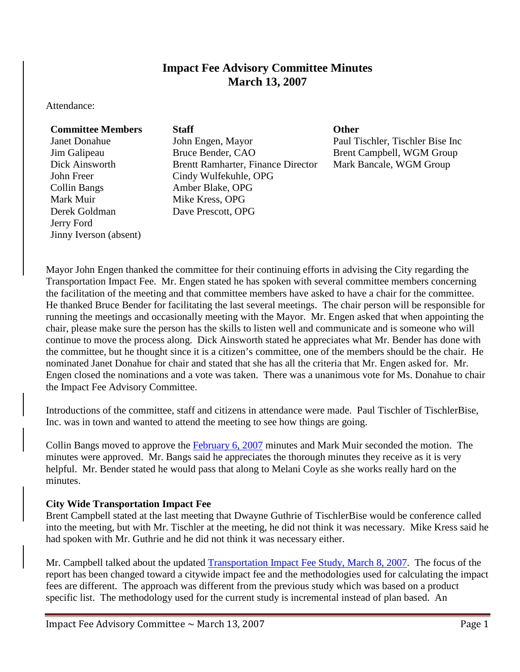# **Impact Fee Advisory Committee Minutes March 13, 2007**

Attendance:

### **Committee Members Staff Other**

Collin Bangs Amber Blake, OPG Mark Muir Mike Kress, OPG Derek Goldman Jerry Ford Jinny Iverson (absent)

Janet Donahue John Engen, Mayor Paul Tischler, Tischler Bise Inc Jim Galipeau Bruce Bender, CAO Brent Campbell, WGM Group Dick Ainsworth Brentt Ramharter, Finance Director Mark Bancale, WGM Group John Freer Cindy Wulfekuhle, OPG Dave Prescott, OPG

Mayor John Engen thanked the committee for their continuing efforts in advising the City regarding the Transportation Impact Fee. Mr. Engen stated he has spoken with several committee members concerning the facilitation of the meeting and that committee members have asked to have a chair for the committee. He thanked Bruce Bender for facilitating the last several meetings. The chair person will be responsible for running the meetings and occasionally meeting with the Mayor. Mr. Engen asked that when appointing the chair, please make sure the person has the skills to listen well and communicate and is someone who will continue to move the process along. Dick Ainsworth stated he appreciates what Mr. Bender has done with the committee, but he thought since it is a citizen's committee, one of the members should be the chair. He nominated Janet Donahue for chair and stated that she has all the criteria that Mr. Engen asked for. Mr. Engen closed the nominations and a vote was taken. There was a unanimous vote for Ms. Donahue to chair the Impact Fee Advisory Committee.

Introductions of the committee, staff and citizens in attendance were made. Paul Tischler of TischlerBise, Inc. was in town and wanted to attend the meeting to see how things are going.

Collin Bangs moved to approve the [February 6, 2007](ftp://www.ci.missoula.mt.us/Documents/Mayor/IFAC/2007/070206Minutes.pdf) minutes and Mark Muir seconded the motion. The minutes were approved. Mr. Bangs said he appreciates the thorough minutes they receive as it is very helpful. Mr. Bender stated he would pass that along to Melani Coyle as she works really hard on the minutes.

## **City Wide Transportation Impact Fee**

Brent Campbell stated at the last meeting that Dwayne Guthrie of TischlerBise would be conference called into the meeting, but with Mr. Tischler at the meeting, he did not think it was necessary. Mike Kress said he had spoken with Mr. Guthrie and he did not think it was necessary either.

Mr. Campbell talked about the updated [Transportation Impact Fee Study, March 8, 2007.](ftp://www.ci.missoula.mt.us/Documents/Mayor/IFAC/2007/070308ImpactFeeStudy.pdf) The focus of the report has been changed toward a citywide impact fee and the methodologies used for calculating the impact fees are different. The approach was different from the previous study which was based on a product specific list. The methodology used for the current study is incremental instead of plan based. An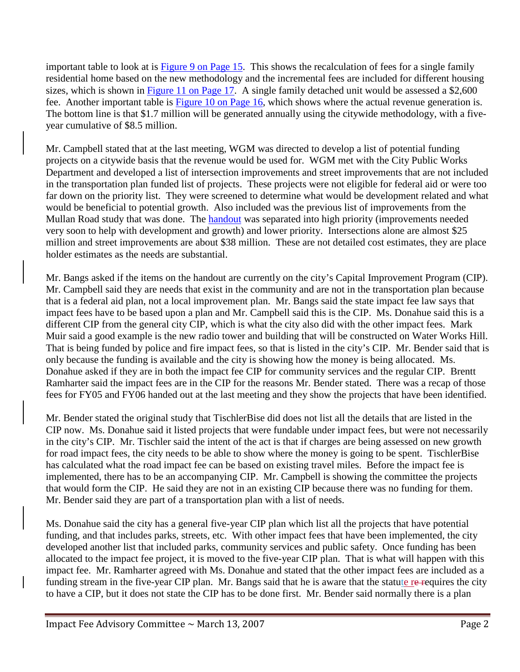important table to look at is [Figure 9 on Page 15.](ftp://www.ci.missoula.mt.us/Documents/Mayor/IFAC/2007/070308ImpactFeePg15.pdf) This shows the recalculation of fees for a single family residential home based on the new methodology and the incremental fees are included for different housing sizes, which is shown in [Figure 11 on Page 17.](ftp://www.ci.missoula.mt.us/Documents/Mayor/IFAC/2007/070308ImpactFeePg17.pdf) A single family detached unit would be assessed a \$2,600 fee. Another important table is [Figure 10 on Page 16,](ftp://www.ci.missoula.mt.us/Documents/Mayor/IFAC/2007/070308ImpactFeePg16.pdf) which shows where the actual revenue generation is. The bottom line is that \$1.7 million will be generated annually using the citywide methodology, with a fiveyear cumulative of \$8.5 million.

Mr. Campbell stated that at the last meeting, WGM was directed to develop a list of potential funding projects on a citywide basis that the revenue would be used for. WGM met with the City Public Works Department and developed a list of intersection improvements and street improvements that are not included in the transportation plan funded list of projects. These projects were not eligible for federal aid or were too far down on the priority list. They were screened to determine what would be development related and what would be beneficial to potential growth. Also included was the previous list of improvements from the Mullan Road study that was done. The **handout** was separated into high priority (improvements needed very soon to help with development and growth) and lower priority. Intersections alone are almost \$25 million and street improvements are about \$38 million. These are not detailed cost estimates, they are place holder estimates as the needs are substantial.

Mr. Bangs asked if the items on the handout are currently on the city's Capital Improvement Program (CIP). Mr. Campbell said they are needs that exist in the community and are not in the transportation plan because that is a federal aid plan, not a local improvement plan. Mr. Bangs said the state impact fee law says that impact fees have to be based upon a plan and Mr. Campbell said this is the CIP. Ms. Donahue said this is a different CIP from the general city CIP, which is what the city also did with the other impact fees. Mark Muir said a good example is the new radio tower and building that will be constructed on Water Works Hill. That is being funded by police and fire impact fees, so that is listed in the city's CIP. Mr. Bender said that is only because the funding is available and the city is showing how the money is being allocated. Ms. Donahue asked if they are in both the impact fee CIP for community services and the regular CIP. Brentt Ramharter said the impact fees are in the CIP for the reasons Mr. Bender stated. There was a recap of those fees for FY05 and FY06 handed out at the last meeting and they show the projects that have been identified.

Mr. Bender stated the original study that TischlerBise did does not list all the details that are listed in the CIP now. Ms. Donahue said it listed projects that were fundable under impact fees, but were not necessarily in the city's CIP. Mr. Tischler said the intent of the act is that if charges are being assessed on new growth for road impact fees, the city needs to be able to show where the money is going to be spent. TischlerBise has calculated what the road impact fee can be based on existing travel miles. Before the impact fee is implemented, there has to be an accompanying CIP. Mr. Campbell is showing the committee the projects that would form the CIP. He said they are not in an existing CIP because there was no funding for them. Mr. Bender said they are part of a transportation plan with a list of needs.

Ms. Donahue said the city has a general five-year CIP plan which list all the projects that have potential funding, and that includes parks, streets, etc. With other impact fees that have been implemented, the city developed another list that included parks, community services and public safety. Once funding has been allocated to the impact fee project, it is moved to the five-year CIP plan. That is what will happen with this impact fee. Mr. Ramharter agreed with Ms. Donahue and stated that the other impact fees are included as a funding stream in the five-year CIP plan. Mr. Bangs said that he is aware that the statute re-requires the city to have a CIP, but it does not state the CIP has to be done first. Mr. Bender said normally there is a plan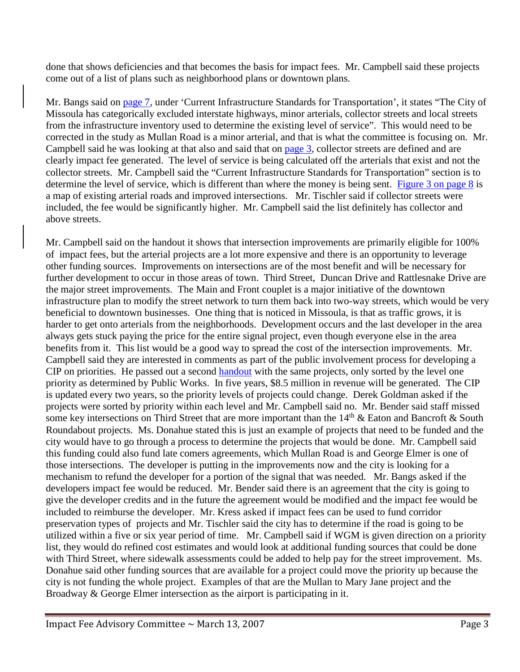done that shows deficiencies and that becomes the basis for impact fees. Mr. Campbell said these projects come out of a list of plans such as neighborhood plans or downtown plans.

Mr. Bangs said on [page 7,](ftp://www.ci.missoula.mt.us/Documents/Mayor/IFAC/2007/070308ImpactFeePg7.pdf) under 'Current Infrastructure Standards for Transportation', it states "The City of Missoula has categorically excluded interstate highways, minor arterials, collector streets and local streets from the infrastructure inventory used to determine the existing level of service". This would need to be corrected in the study as Mullan Road is a minor arterial, and that is what the committee is focusing on. Mr. Campbell said he was looking at that also and said that on [page 3,](ftp://www.ci.missoula.mt.us/Documents/Mayor/IFAC/2007/070308ImpactFeePg3.pdf) collector streets are defined and are clearly impact fee generated. The level of service is being calculated off the arterials that exist and not the collector streets. Mr. Campbell said the "Current Infrastructure Standards for Transportation" section is to determine the level of service, which is different than where the money is being sent. [Figure 3 on page 8](ftp://www.ci.missoula.mt.us/Documents/Mayor/IFAC/2007/070308ImpactFeePg8.pdf) is a map of existing arterial roads and improved intersections. Mr. Tischler said if collector streets were included, the fee would be significantly higher. Mr. Campbell said the list definitely has collector and above streets.

Mr. Campbell said on the handout it shows that intersection improvements are primarily eligible for 100% of impact fees, but the arterial projects are a lot more expensive and there is an opportunity to leverage other funding sources. Improvements on intersections are of the most benefit and will be necessary for further development to occur in those areas of town. Third Street, Duncan Drive and Rattlesnake Drive are the major street improvements. The Main and Front couplet is a major initiative of the downtown infrastructure plan to modify the street network to turn them back into two-way streets, which would be very beneficial to downtown businesses. One thing that is noticed in Missoula, is that as traffic grows, it is harder to get onto arterials from the neighborhoods. Development occurs and the last developer in the area always gets stuck paying the price for the entire signal project, even though everyone else in the area benefits from it. This list would be a good way to spread the cost of the intersection improvements. Mr. Campbell said they are interested in comments as part of the public involvement process for developing a CIP on priorities. He passed out a second [handout](ftp://www.ci.missoula.mt.us/Documents/Mayor/IFAC/2007/070313handout2.pdf) with the same projects, only sorted by the level one priority as determined by Public Works. In five years, \$8.5 million in revenue will be generated. The CIP is updated every two years, so the priority levels of projects could change. Derek Goldman asked if the projects were sorted by priority within each level and Mr. Campbell said no. Mr. Bender said staff missed some key intersections on Third Street that are more important than the 14<sup>th</sup> & Eaton and Bancroft & South Roundabout projects. Ms. Donahue stated this is just an example of projects that need to be funded and the city would have to go through a process to determine the projects that would be done. Mr. Campbell said this funding could also fund late comers agreements, which Mullan Road is and George Elmer is one of those intersections. The developer is putting in the improvements now and the city is looking for a mechanism to refund the developer for a portion of the signal that was needed. Mr. Bangs asked if the developers impact fee would be reduced. Mr. Bender said there is an agreement that the city is going to give the developer credits and in the future the agreement would be modified and the impact fee would be included to reimburse the developer. Mr. Kress asked if impact fees can be used to fund corridor preservation types of projects and Mr. Tischler said the city has to determine if the road is going to be utilized within a five or six year period of time. Mr. Campbell said if WGM is given direction on a priority list, they would do refined cost estimates and would look at additional funding sources that could be done with Third Street, where sidewalk assessments could be added to help pay for the street improvement. Ms. Donahue said other funding sources that are available for a project could move the priority up because the city is not funding the whole project. Examples of that are the Mullan to Mary Jane project and the Broadway & George Elmer intersection as the airport is participating in it.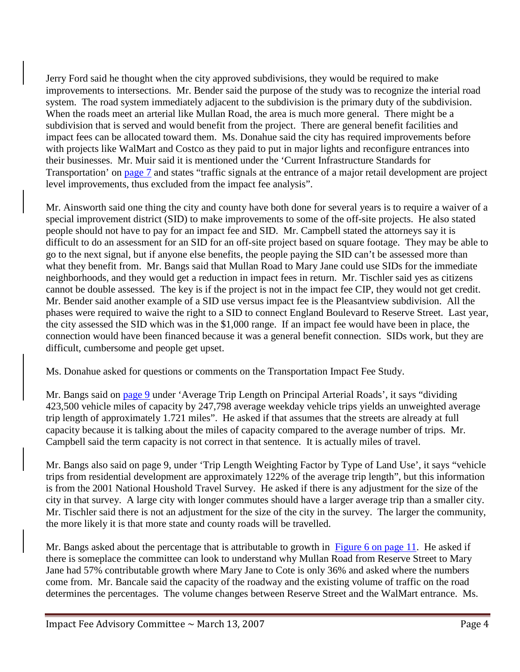Jerry Ford said he thought when the city approved subdivisions, they would be required to make improvements to intersections. Mr. Bender said the purpose of the study was to recognize the interial road system. The road system immediately adjacent to the subdivision is the primary duty of the subdivision. When the roads meet an arterial like Mullan Road, the area is much more general. There might be a subdivision that is served and would benefit from the project. There are general benefit facilities and impact fees can be allocated toward them. Ms. Donahue said the city has required improvements before with projects like WalMart and Costco as they paid to put in major lights and reconfigure entrances into their businesses. Mr. Muir said it is mentioned under the 'Current Infrastructure Standards for Transportation' on [page 7](ftp://www.ci.missoula.mt.us/Documents/Mayor/IFAC/2007/070308ImpactFeePg7.pdf) and states "traffic signals at the entrance of a major retail development are project level improvements, thus excluded from the impact fee analysis".

Mr. Ainsworth said one thing the city and county have both done for several years is to require a waiver of a special improvement district (SID) to make improvements to some of the off-site projects. He also stated people should not have to pay for an impact fee and SID. Mr. Campbell stated the attorneys say it is difficult to do an assessment for an SID for an off-site project based on square footage. They may be able to go to the next signal, but if anyone else benefits, the people paying the SID can't be assessed more than what they benefit from. Mr. Bangs said that Mullan Road to Mary Jane could use SIDs for the immediate neighborhoods, and they would get a reduction in impact fees in return. Mr. Tischler said yes as citizens cannot be double assessed. The key is if the project is not in the impact fee CIP, they would not get credit. Mr. Bender said another example of a SID use versus impact fee is the Pleasantview subdivision. All the phases were required to waive the right to a SID to connect England Boulevard to Reserve Street. Last year, the city assessed the SID which was in the \$1,000 range. If an impact fee would have been in place, the connection would have been financed because it was a general benefit connection. SIDs work, but they are difficult, cumbersome and people get upset.

Ms. Donahue asked for questions or comments on the Transportation Impact Fee Study.

Mr. Bangs said on [page](ftp://www.ci.missoula.mt.us/Documents/Mayor/IFAC/2007/070308ImpactFeePg9.pdf) 9 under 'Average Trip Length on Principal Arterial Roads', it says "dividing 423,500 vehicle miles of capacity by 247,798 average weekday vehicle trips yields an unweighted average trip length of approximately 1.721 miles". He asked if that assumes that the streets are already at full capacity because it is talking about the miles of capacity compared to the average number of trips. Mr. Campbell said the term capacity is not correct in that sentence. It is actually miles of travel.

Mr. Bangs also said on page 9, under 'Trip Length Weighting Factor by Type of Land Use', it says "vehicle trips from residential development are approximately 122% of the average trip length", but this information is from the 2001 National Houshold Travel Survey. He asked if there is any adjustment for the size of the city in that survey. A large city with longer commutes should have a larger average trip than a smaller city. Mr. Tischler said there is not an adjustment for the size of the city in the survey. The larger the community, the more likely it is that more state and county roads will be travelled.

Mr. Bangs asked about the percentage that is attributable to growth in [Figure 6 on page 11.](ftp://www.ci.missoula.mt.us/Documents/Mayor/IFAC/2007/070308ImpactFeePg11.pdf) He asked if there is someplace the committee can look to understand why Mullan Road from Reserve Street to Mary Jane had 57% contributable growth where Mary Jane to Cote is only 36% and asked where the numbers come from. Mr. Bancale said the capacity of the roadway and the existing volume of traffic on the road determines the percentages. The volume changes between Reserve Street and the WalMart entrance. Ms.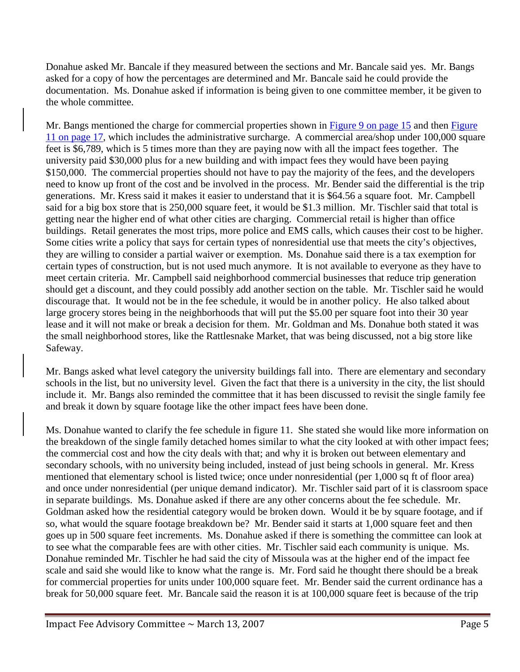Donahue asked Mr. Bancale if they measured between the sections and Mr. Bancale said yes. Mr. Bangs asked for a copy of how the percentages are determined and Mr. Bancale said he could provide the documentation. Ms. Donahue asked if information is being given to one committee member, it be given to the whole committee.

Mr. Bangs mentioned the charge for commercial properties shown in [Figure 9 on page 15](ftp://www.ci.missoula.mt.us/Documents/Mayor/IFAC/2007/070308ImpactFeePg15.pdf) and then Figure [11 on page 17,](ftp://www.ci.missoula.mt.us/Documents/Mayor/IFAC/2007/070308ImpactFeePg17.pdf) which includes the administrative surcharge. A commercial area/shop under 100,000 square feet is \$6,789, which is 5 times more than they are paying now with all the impact fees together. The university paid \$30,000 plus for a new building and with impact fees they would have been paying \$150,000. The commercial properties should not have to pay the majority of the fees, and the developers need to know up front of the cost and be involved in the process. Mr. Bender said the differential is the trip generations. Mr. Kress said it makes it easier to understand that it is \$64.56 a square foot. Mr. Campbell said for a big box store that is 250,000 square feet, it would be \$1.3 million. Mr. Tischler said that total is getting near the higher end of what other cities are charging. Commercial retail is higher than office buildings. Retail generates the most trips, more police and EMS calls, which causes their cost to be higher. Some cities write a policy that says for certain types of nonresidential use that meets the city's objectives, they are willing to consider a partial waiver or exemption. Ms. Donahue said there is a tax exemption for certain types of construction, but is not used much anymore. It is not available to everyone as they have to meet certain criteria. Mr. Campbell said neighborhood commercial businesses that reduce trip generation should get a discount, and they could possibly add another section on the table. Mr. Tischler said he would discourage that. It would not be in the fee schedule, it would be in another policy. He also talked about large grocery stores being in the neighborhoods that will put the \$5.00 per square foot into their 30 year lease and it will not make or break a decision for them. Mr. Goldman and Ms. Donahue both stated it was the small neighborhood stores, like the Rattlesnake Market, that was being discussed, not a big store like Safeway.

Mr. Bangs asked what level category the university buildings fall into. There are elementary and secondary schools in the list, but no university level. Given the fact that there is a university in the city, the list should include it. Mr. Bangs also reminded the committee that it has been discussed to revisit the single family fee and break it down by square footage like the other impact fees have been done.

Ms. Donahue wanted to clarify the fee schedule in figure 11. She stated she would like more information on the breakdown of the single family detached homes similar to what the city looked at with other impact fees; the commercial cost and how the city deals with that; and why it is broken out between elementary and secondary schools, with no university being included, instead of just being schools in general. Mr. Kress mentioned that elementary school is listed twice; once under nonresidential (per 1,000 sq ft of floor area) and once under nonresidential (per unique demand indicator). Mr. Tischler said part of it is classroom space in separate buildings. Ms. Donahue asked if there are any other concerns about the fee schedule. Mr. Goldman asked how the residential category would be broken down. Would it be by square footage, and if so, what would the square footage breakdown be? Mr. Bender said it starts at 1,000 square feet and then goes up in 500 square feet increments. Ms. Donahue asked if there is something the committee can look at to see what the comparable fees are with other cities. Mr. Tischler said each community is unique. Ms. Donahue reminded Mr. Tischler he had said the city of Missoula was at the higher end of the impact fee scale and said she would like to know what the range is. Mr. Ford said he thought there should be a break for commercial properties for units under 100,000 square feet. Mr. Bender said the current ordinance has a break for 50,000 square feet. Mr. Bancale said the reason it is at 100,000 square feet is because of the trip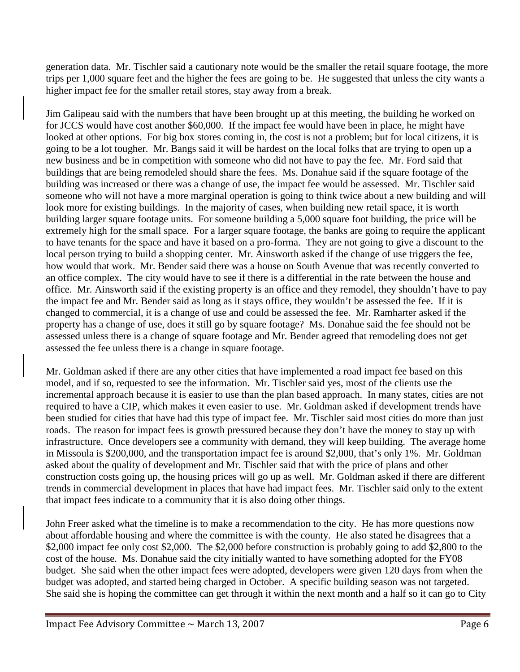generation data. Mr. Tischler said a cautionary note would be the smaller the retail square footage, the more trips per 1,000 square feet and the higher the fees are going to be. He suggested that unless the city wants a higher impact fee for the smaller retail stores, stay away from a break.

Jim Galipeau said with the numbers that have been brought up at this meeting, the building he worked on for JCCS would have cost another \$60,000. If the impact fee would have been in place, he might have looked at other options. For big box stores coming in, the cost is not a problem; but for local citizens, it is going to be a lot tougher. Mr. Bangs said it will be hardest on the local folks that are trying to open up a new business and be in competition with someone who did not have to pay the fee. Mr. Ford said that buildings that are being remodeled should share the fees. Ms. Donahue said if the square footage of the building was increased or there was a change of use, the impact fee would be assessed. Mr. Tischler said someone who will not have a more marginal operation is going to think twice about a new building and will look more for existing buildings. In the majority of cases, when building new retail space, it is worth building larger square footage units. For someone building a 5,000 square foot building, the price will be extremely high for the small space. For a larger square footage, the banks are going to require the applicant to have tenants for the space and have it based on a pro-forma. They are not going to give a discount to the local person trying to build a shopping center. Mr. Ainsworth asked if the change of use triggers the fee, how would that work. Mr. Bender said there was a house on South Avenue that was recently converted to an office complex. The city would have to see if there is a differential in the rate between the house and office. Mr. Ainsworth said if the existing property is an office and they remodel, they shouldn't have to pay the impact fee and Mr. Bender said as long as it stays office, they wouldn't be assessed the fee. If it is changed to commercial, it is a change of use and could be assessed the fee. Mr. Ramharter asked if the property has a change of use, does it still go by square footage? Ms. Donahue said the fee should not be assessed unless there is a change of square footage and Mr. Bender agreed that remodeling does not get assessed the fee unless there is a change in square footage.

Mr. Goldman asked if there are any other cities that have implemented a road impact fee based on this model, and if so, requested to see the information. Mr. Tischler said yes, most of the clients use the incremental approach because it is easier to use than the plan based approach. In many states, cities are not required to have a CIP, which makes it even easier to use. Mr. Goldman asked if development trends have been studied for cities that have had this type of impact fee. Mr. Tischler said most cities do more than just roads. The reason for impact fees is growth pressured because they don't have the money to stay up with infrastructure. Once developers see a community with demand, they will keep building. The average home in Missoula is \$200,000, and the transportation impact fee is around \$2,000, that's only 1%. Mr. Goldman asked about the quality of development and Mr. Tischler said that with the price of plans and other construction costs going up, the housing prices will go up as well. Mr. Goldman asked if there are different trends in commercial development in places that have had impact fees. Mr. Tischler said only to the extent that impact fees indicate to a community that it is also doing other things.

John Freer asked what the timeline is to make a recommendation to the city. He has more questions now about affordable housing and where the committee is with the county. He also stated he disagrees that a \$2,000 impact fee only cost \$2,000. The \$2,000 before construction is probably going to add \$2,800 to the cost of the house. Ms. Donahue said the city initially wanted to have something adopted for the FY08 budget. She said when the other impact fees were adopted, developers were given 120 days from when the budget was adopted, and started being charged in October. A specific building season was not targeted. She said she is hoping the committee can get through it within the next month and a half so it can go to City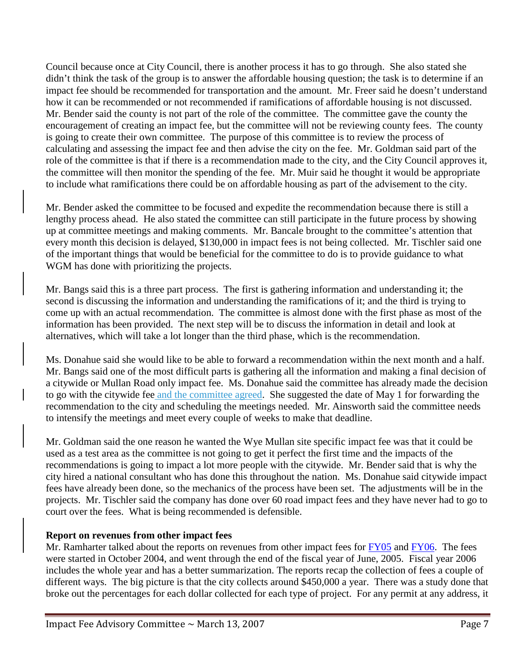Council because once at City Council, there is another process it has to go through. She also stated she didn't think the task of the group is to answer the affordable housing question; the task is to determine if an impact fee should be recommended for transportation and the amount. Mr. Freer said he doesn't understand how it can be recommended or not recommended if ramifications of affordable housing is not discussed. Mr. Bender said the county is not part of the role of the committee. The committee gave the county the encouragement of creating an impact fee, but the committee will not be reviewing county fees. The county is going to create their own committee. The purpose of this committee is to review the process of calculating and assessing the impact fee and then advise the city on the fee. Mr. Goldman said part of the role of the committee is that if there is a recommendation made to the city, and the City Council approves it, the committee will then monitor the spending of the fee. Mr. Muir said he thought it would be appropriate to include what ramifications there could be on affordable housing as part of the advisement to the city.

Mr. Bender asked the committee to be focused and expedite the recommendation because there is still a lengthy process ahead. He also stated the committee can still participate in the future process by showing up at committee meetings and making comments. Mr. Bancale brought to the committee's attention that every month this decision is delayed, \$130,000 in impact fees is not being collected. Mr. Tischler said one of the important things that would be beneficial for the committee to do is to provide guidance to what WGM has done with prioritizing the projects.

Mr. Bangs said this is a three part process. The first is gathering information and understanding it; the second is discussing the information and understanding the ramifications of it; and the third is trying to come up with an actual recommendation. The committee is almost done with the first phase as most of the information has been provided. The next step will be to discuss the information in detail and look at alternatives, which will take a lot longer than the third phase, which is the recommendation.

Ms. Donahue said she would like to be able to forward a recommendation within the next month and a half. Mr. Bangs said one of the most difficult parts is gathering all the information and making a final decision of a citywide or Mullan Road only impact fee. Ms. Donahue said the committee has already made the decision to go with the citywide fee and the committee agreed. She suggested the date of May 1 for forwarding the recommendation to the city and scheduling the meetings needed. Mr. Ainsworth said the committee needs to intensify the meetings and meet every couple of weeks to make that deadline.

Mr. Goldman said the one reason he wanted the Wye Mullan site specific impact fee was that it could be used as a test area as the committee is not going to get it perfect the first time and the impacts of the recommendations is going to impact a lot more people with the citywide. Mr. Bender said that is why the city hired a national consultant who has done this throughout the nation. Ms. Donahue said citywide impact fees have already been done, so the mechanics of the process have been set. The adjustments will be in the projects. Mr. Tischler said the company has done over 60 road impact fees and they have never had to go to court over the fees. What is being recommended is defensible.

## **Report on revenues from other impact fees**

Mr. Ramharter talked about the reports on revenues from other impact fees for [FY05](ftp://www.ci.missoula.mt.us/Documents/Mayor/IFAC/2007/070206FY05ImpFeeRpt.pdf) and [FY06.](ftp://www.ci.missoula.mt.us/Documents/Mayor/IFAC/2007/070206FY06ImpFeeRpt.pdf) The fees were started in October 2004, and went through the end of the fiscal year of June, 2005. Fiscal year 2006 includes the whole year and has a better summarization. The reports recap the collection of fees a couple of different ways. The big picture is that the city collects around \$450,000 a year. There was a study done that broke out the percentages for each dollar collected for each type of project. For any permit at any address, it